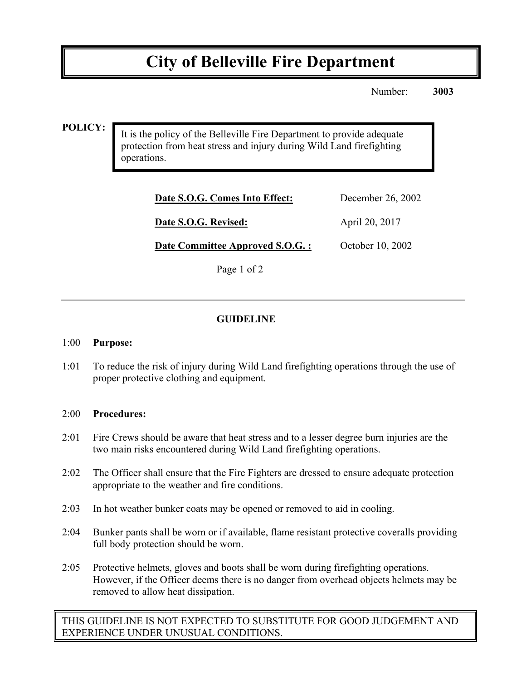# **City of Belleville Fire Department**

Number: **3003**

### **POLICY:**

It is the policy of the Belleville Fire Department to provide adequate protection from heat stress and injury during Wild Land firefighting operations.

| Date S.O.G. Comes Into Effect:  | December 26, 2002 |
|---------------------------------|-------------------|
| Date S.O.G. Revised:            | April 20, 2017    |
| Date Committee Approved S.O.G.: | October 10, 2002  |

Page 1 of 2

## **GUIDELINE**

#### 1:00 **Purpose:**

1:01 To reduce the risk of injury during Wild Land firefighting operations through the use of proper protective clothing and equipment.

#### 2:00 **Procedures:**

- 2:01 Fire Crews should be aware that heat stress and to a lesser degree burn injuries are the two main risks encountered during Wild Land firefighting operations.
- 2:02 The Officer shall ensure that the Fire Fighters are dressed to ensure adequate protection appropriate to the weather and fire conditions.
- 2:03 In hot weather bunker coats may be opened or removed to aid in cooling.
- 2:04 Bunker pants shall be worn or if available, flame resistant protective coveralls providing full body protection should be worn.
- 2:05 Protective helmets, gloves and boots shall be worn during firefighting operations. However, if the Officer deems there is no danger from overhead objects helmets may be removed to allow heat dissipation.

THIS GUIDELINE IS NOT EXPECTED TO SUBSTITUTE FOR GOOD JUDGEMENT AND EXPERIENCE UNDER UNUSUAL CONDITIONS.